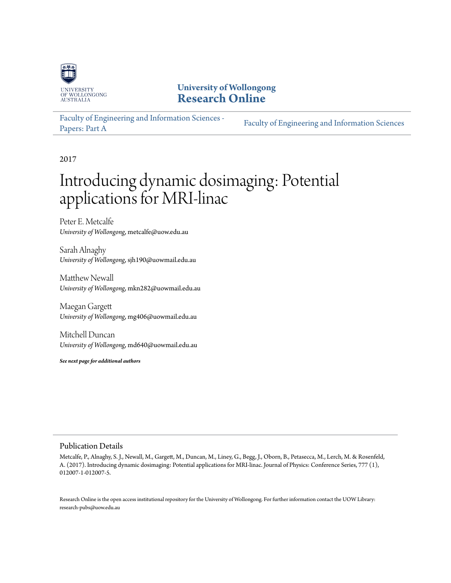

### **University of Wollongong [Research Online](http://ro.uow.edu.au)**

[Faculty of Engineering and Information Sciences -](http://ro.uow.edu.au/eispapers) [Papers: Part A](http://ro.uow.edu.au/eispapers) [Faculty of Engineering and Information Sciences](http://ro.uow.edu.au/eis)

2017

# Introducing dynamic dosimaging: Potential applications for MRI-linac

Peter E. Metcalfe *University of Wollongong*, metcalfe@uow.edu.au

Sarah Alnaghy *University of Wollongong*, sjh190@uowmail.edu.au

Matthew Newall *University of Wollongong*, mkn282@uowmail.edu.au

Maegan Gargett *University of Wollongong*, mg406@uowmail.edu.au

Mitchell Duncan *University of Wollongong*, md640@uowmail.edu.au

*See next page for additional authors*

### Publication Details

Metcalfe, P., Alnaghy, S. J., Newall, M., Gargett, M., Duncan, M., Liney, G., Begg, J., Oborn, B., Petasecca, M., Lerch, M. & Rosenfeld, A. (2017). Introducing dynamic dosimaging: Potential applications for MRI-linac. Journal of Physics: Conference Series, 777 (1), 012007-1-012007-5.

Research Online is the open access institutional repository for the University of Wollongong. For further information contact the UOW Library: research-pubs@uow.edu.au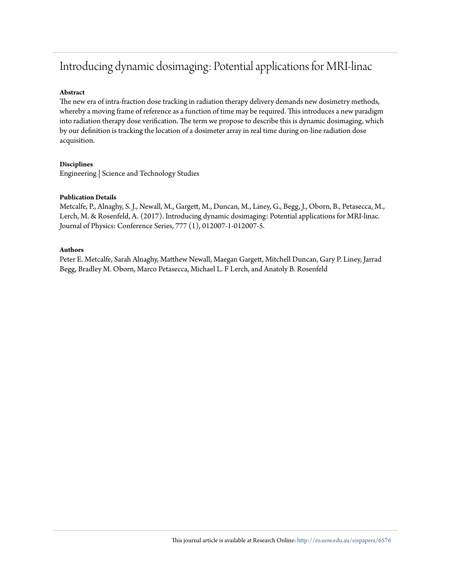## Introducing dynamic dosimaging: Potential applications for MRI-linac

### **Abstract**

The new era of intra-fraction dose tracking in radiation therapy delivery demands new dosimetry methods, whereby a moving frame of reference as a function of time may be required. This introduces a new paradigm into radiation therapy dose verification. The term we propose to describe this is dynamic dosimaging, which by our definition is tracking the location of a dosimeter array in real time during on-line radiation dose acquisition.

### **Disciplines**

Engineering | Science and Technology Studies

### **Publication Details**

Metcalfe, P., Alnaghy, S. J., Newall, M., Gargett, M., Duncan, M., Liney, G., Begg, J., Oborn, B., Petasecca, M., Lerch, M. & Rosenfeld, A. (2017). Introducing dynamic dosimaging: Potential applications for MRI-linac. Journal of Physics: Conference Series, 777 (1), 012007-1-012007-5.

### **Authors**

Peter E. Metcalfe, Sarah Alnaghy, Matthew Newall, Maegan Gargett, Mitchell Duncan, Gary P. Liney, Jarrad Begg, Bradley M. Oborn, Marco Petasecca, Michael L. F Lerch, and Anatoly B. Rosenfeld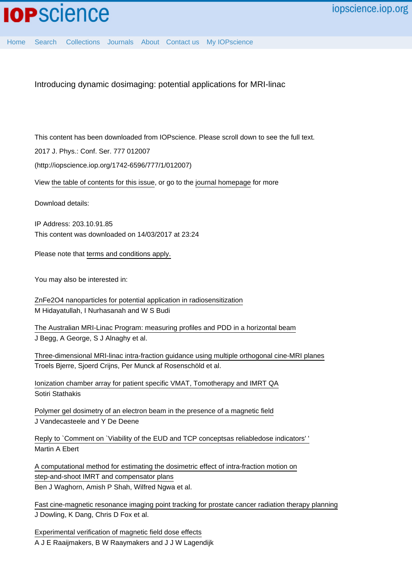[Home](http://iopscience.iop.org/) [Search](http://iopscience.iop.org/search) [Collections](http://iopscience.iop.org/collections) [Journals](http://iopscience.iop.org/journals) [About](http://iopscience.iop.org/page/aboutioppublishing) [Contact us](http://iopscience.iop.org/contact) [My IOPscience](http://iopscience.iop.org/myiopscience)

Introducing dynamic dosimaging: potential applications for MRI-linac

This content has been downloaded from IOPscience. Please scroll down to see the full text.

2017 J. Phys.: Conf. Ser. 777 012007

(http://iopscience.iop.org/1742-6596/777/1/012007)

View [the table of contents for this issue](http://iopscience.iop.org/1742-6596/777/1), or go to the [journal homepage](http://iopscience.iop.org/1742-6596) for more

Download details:

IP Address: 203.10.91.85 This content was downloaded on 14/03/2017 at 23:24

Please note that [terms and conditions apply.](http://iopscience.iop.org/page/terms)

You may also be interested in:

[ZnFe2O4 nanoparticles for potential application in radiosensitization](http://iopscience.iop.org/article/10.1088/1742-6596/694/1/012028) M Hidayatullah, I Nurhasanah and W S Budi

[The Australian MRI-Linac Program: measuring profiles and PDD in a horizontal beam](http://iopscience.iop.org/article/10.1088/1742-6596/777/1/012035) J Begg, A George, S J Alnaghy et al.

[Three-dimensional MRI-linac intra-fraction guidance using multiple orthogonal cine-MRI planes](http://iopscience.iop.org/article/10.1088/0031-9155/58/14/4943) Troels Bjerre, Sjoerd Crijns, Per Munck af Rosenschöld et al.

[Ionization chamber array for patient specific VMAT, Tomotherapy and IMRT QA](http://iopscience.iop.org/article/10.1088/1742-6596/250/1/012029) Sotiri Stathakis

[Polymer gel dosimetry of an electron beam in the presence of a magnetic field](http://iopscience.iop.org/article/10.1088/1742-6596/444/1/012104) J Vandecasteele and Y De Deene

[Reply to `Comment on `Viability of the EUD and TCP conceptsas reliabledose indicators' '](http://iopscience.iop.org/article/10.1088/0031-9155/45/7/102) Martin A Ebert

[A computational method for estimating the dosimetric effect of intra-fraction motion on](http://iopscience.iop.org/article/10.1088/0031-9155/55/14/015) [step-and-shoot IMRT and compensator plans](http://iopscience.iop.org/article/10.1088/0031-9155/55/14/015) Ben J Waghorn, Amish P Shah, Wilfred Ngwa et al.

[Fast cine-magnetic resonance imaging point tracking for prostate cancer radiation therapy planning](http://iopscience.iop.org/article/10.1088/1742-6596/489/1/012027) J Dowling, K Dang, Chris D Fox et al.

[Experimental verification of magnetic field dose effects](http://iopscience.iop.org/article/10.1088/0031-9155/52/14/017) A J E Raaijmakers, B W Raaymakers and J J W Lagendijk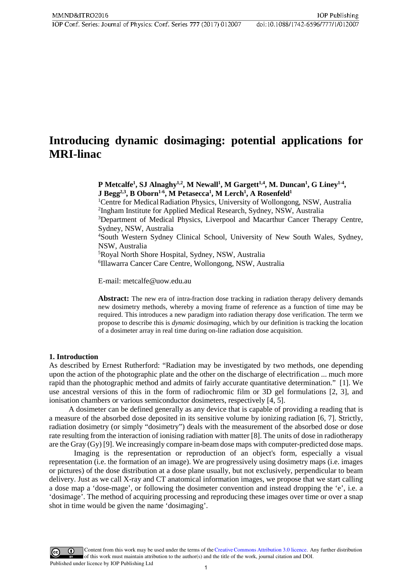## **Introducing dynamic dosimaging: potential applications for MRI-linac**

**P** Metcalfe<sup>1</sup>, SJ Alnaghy<sup>1,2</sup>, M Newall<sup>1</sup>, M Gargett<sup>1,4</sup>, M. Duncan<sup>1</sup>, G Liney<sup>1-4</sup>, **J** Begg<sup>2,3</sup>, B Oborn<sup>1-6</sup>, M Petasecca<sup>1</sup>, M Lerch<sup>1</sup>, A Rosenfeld<sup>1</sup>

<sup>1</sup>Centre for Medical Radiation Physics, University of Wollongong, NSW, Australia 2 Ingham Institute for Applied Medical Research, Sydney, NSW, Australia

<sup>3</sup>Department of Medical Physics, Liverpool and Macarthur Cancer Therapy Centre, Sydney, NSW, Australia

4 South Western Sydney Clinical School, University of New South Wales, Sydney, NSW, Australia

5 Royal North Shore Hospital, Sydney, NSW, Australia

6 Illawarra Cancer Care Centre, Wollongong, NSW, Australia

E-mail: metcalfe@uow.edu.au

**Abstract:** The new era of intra-fraction dose tracking in radiation therapy delivery demands new dosimetry methods, whereby a moving frame of reference as a function of time may be required. This introduces a new paradigm into radiation therapy dose verification. The term we propose to describe this is *dynamic dosimaging*, which by our definition is tracking the location of a dosimeter array in real time during on-line radiation dose acquisition.

### **1. Introduction**

As described by Ernest Rutherford: "Radiation may be investigated by two methods, one depending upon the action of the photographic plate and the other on the discharge of electrification ... much more rapid than the photographic method and admits of fairly accurate quantitative determination." [1]. We use ancestral versions of this in the form of radiochromic film or 3D gel formulations [2, 3], and ionisation chambers or various semiconductor dosimeters, respectively [4, 5].

A dosimeter can be defined generally as any device that is capable of providing a reading that is a measure of the absorbed dose deposited in its sensitive volume by ionizing radiation [6, 7]. Strictly, radiation dosimetry (or simply "dosimetry") deals with the measurement of the absorbed dose or dose rate resulting from the interaction of ionising radiation with matter [8]. The units of dose in radiotherapy are the Gray (Gy) [9]. We increasingly compare in-beam dose maps with computer-predicted dose maps.

Imaging is the representation or reproduction of an object's form, especially a visual representation (i.e. the formation of a[n image\)](https://en.wikipedia.org/wiki/Image). We are progressively using dosimetry maps (i.e. images or pictures) of the dose distribution at a dose plane usually, but not exclusively, perpendicular to beam delivery. Just as we call X-ray and CT anatomical information images, we propose that we start calling a dose map a 'dose-mage', or following the dosimeter convention and instead dropping the 'e', i.e. a 'dosimage'. The method of acquiring processing and reproducing these images over time or over a snap shot in time would be given the name 'dosimaging'.

Content from this work may be used under the terms of the[Creative Commons Attribution 3.0 licence.](http://creativecommons.org/licenses/by/3.0) Any further distribution of this work must maintain attribution to the author(s) and the title of the work, journal citation and DOI. Published under licence by IOP Publishing Ltd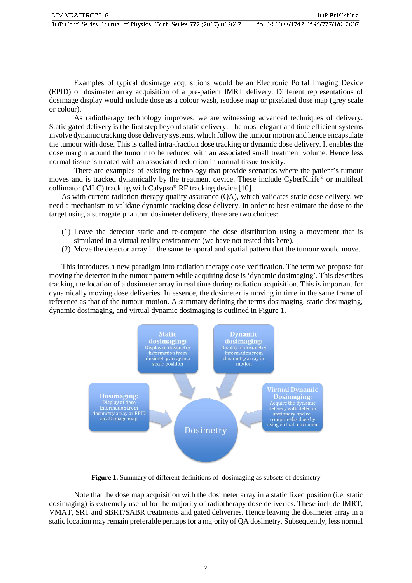Examples of typical dosimage acquisitions would be an Electronic Portal Imaging Device (EPID) or dosimeter array acquisition of a pre-patient IMRT delivery. Different representations of dosimage display would include dose as a colour wash, isodose map or pixelated dose map (grey scale or colour).

As radiotherapy technology improves, we are witnessing advanced techniques of delivery. Static gated delivery is the first step beyond static delivery. The most elegant and time efficient systems involve dynamic tracking dose delivery systems, which follow the tumour motion and hence encapsulate the tumour with dose. This is called intra-fraction dose tracking or dynamic dose delivery. It enables the dose margin around the tumour to be reduced with an associated small treatment volume. Hence less normal tissue is treated with an associated reduction in normal tissue toxicity.

There are examples of existing technology that provide scenarios where the patient's tumour moves and is tracked dynamically by the treatment device. These include CyberKnife® or multileaf collimator (MLC) tracking with Calypso® RF tracking device [10].

As with current radiation therapy quality assurance (QA), which validates static dose delivery, we need a mechanism to validate dynamic tracking dose delivery. In order to best estimate the dose to the target using a surrogate phantom dosimeter delivery, there are two choices:

- (1) Leave the detector static and re-compute the dose distribution using a movement that is simulated in a virtual reality environment (we have not tested this here).
- (2) Move the detector array in the same temporal and spatial pattern that the tumour would move.

This introduces a new paradigm into radiation therapy dose verification. The term we propose for moving the detector in the tumour pattern while acquiring dose is 'dynamic dosimaging'. This describes tracking the location of a dosimeter array in real time during radiation acquisition. This is important for dynamically moving dose deliveries. In essence, the dosimeter is moving in time in the same frame of reference as that of the tumour motion. A summary defining the terms dosimaging, static dosimaging, dynamic dosimaging, and virtual dynamic dosimaging is outlined in Figure 1.



**Figure 1.** Summary of different definitions of dosimaging as subsets of dosimetry

Note that the dose map acquisition with the dosimeter array in a static fixed position (i.e. static dosimaging) is extremely useful for the majority of radiotherapy dose deliveries. These include IMRT, VMAT, SRT and SBRT/SABR treatments and gated deliveries. Hence leaving the dosimeter array in a static location may remain preferable perhaps for a majority of QA dosimetry. Subsequently, less normal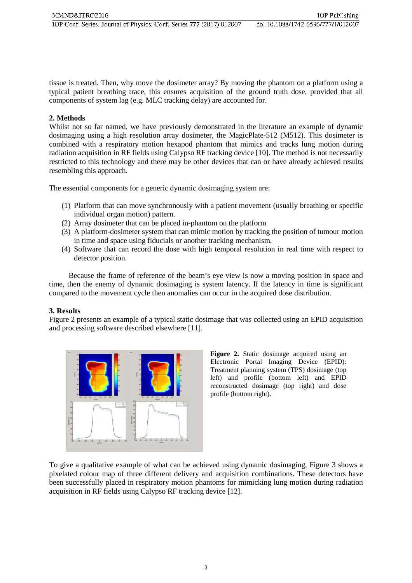tissue is treated. Then, why move the dosimeter array? By moving the phantom on a platform using a typical patient breathing trace, this ensures acquisition of the ground truth dose, provided that all components of system lag (e.g. MLC tracking delay) are accounted for.

### **2. Methods**

Whilst not so far named, we have previously demonstrated in the literature an example of dynamic dosimaging using a high resolution array dosimeter, the MagicPlate-512 (M512). This dosimeter is combined with a respiratory motion hexapod phantom that mimics and tracks lung motion during radiation acquisition in RF fields using Calypso RF tracking device [10]. The method is not necessarily restricted to this technology and there may be other devices that can or have already achieved results resembling this approach.

The essential components for a generic dynamic dosimaging system are:

- (1) Platform that can move synchronously with a patient movement (usually breathing or specific individual organ motion) pattern.
- (2) Array dosimeter that can be placed in-phantom on the platform
- (3) A platform-dosimeter system that can mimic motion by tracking the position of tumour motion in time and space using fiducials or another tracking mechanism.
- (4) Software that can record the dose with high temporal resolution in real time with respect to detector position.

Because the frame of reference of the beam's eye view is now a moving position in space and time, then the enemy of dynamic dosimaging is system latency. If the latency in time is significant compared to the movement cycle then anomalies can occur in the acquired dose distribution.

### **3. Results**

Figure 2 presents an example of a typical static dosimage that was collected using an EPID acquisition and processing software described elsewhere [11].



**Figure 2.** Static dosimage acquired using an Electronic Portal Imaging Device (EPID): Treatment planning system (TPS) dosimage (top left) and profile (bottom left) and EPID reconstructed dosimage (top right) and dose profile (bottom right).

To give a qualitative example of what can be achieved using dynamic dosimaging, Figure 3 shows a pixelated colour map of three different delivery and acquisition combinations. These detectors have been successfully placed in respiratory motion phantoms for mimicking lung motion during radiation acquisition in RF fields using Calypso RF tracking device [12].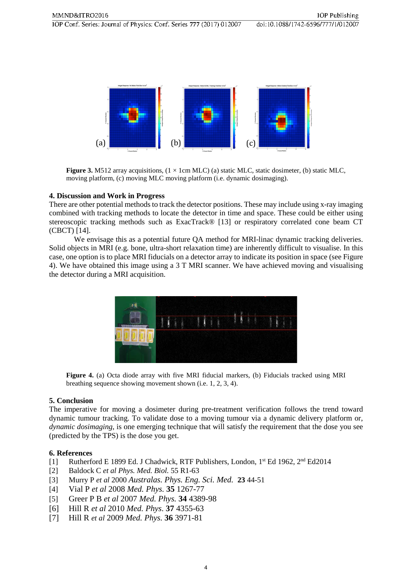

**Figure 3.** M512 array acquisitions,  $(1 \times 1 \text{cm MLC})$  (a) static MLC, static dosimeter, (b) static MLC, moving platform, (c) moving MLC moving platform (i.e. dynamic dosimaging).

### **4. Discussion and Work in Progress**

There are other potential methods to track the detector positions. These may include using x-ray imaging combined with tracking methods to locate the detector in time and space. These could be either using stereoscopic tracking methods such as ExacTrack® [13] or respiratory correlated cone beam CT (CBCT) [14].

We envisage this as a potential future QA method for MRI-linac dynamic tracking deliveries. Solid objects in MRI (e.g. bone, ultra-short relaxation time) are inherently difficult to visualise. In this case, one option is to place MRI fiducials on a detector array to indicate its position in space (see Figure 4). We have obtained this image using a 3 T MRI scanner. We have achieved moving and visualising the detector during a MRI acquisition.



**Figure 4.** (a) Octa diode array with five MRI fiducial markers, (b) Fiducials tracked using MRI breathing sequence showing movement shown (i.e. 1, 2, 3, 4).

### **5. Conclusion**

The imperative for moving a dosimeter during pre-treatment verification follows the trend toward dynamic tumour tracking. To validate dose to a moving tumour via a dynamic delivery platform or, *dynamic dosimaging*, is one emerging technique that will satisfy the requirement that the dose you see (predicted by the TPS) is the dose you get.

### **6. References**

- [1] Rutherford E 1899 Ed. J Chadwick, RTF Publishers, London,  $1<sup>st</sup>$  Ed 1962,  $2<sup>nd</sup>$  Ed2014
- [2] Baldock C *et al Phys. Med. Biol.* 55 R1-63
- [3] Murry P *et al* 2000 *Australas. Phys. Eng. Sci. Med.* **23** 44-51
- [4] Vial P *et al* 2008 *Med. Phys.* **35** 1267-77
- [5] Greer P B *et al* 2007 *Med. Phys.* **34** 4389-98
- [6] Hill R *et al* 2010 *Med. Phys*. **37** 4355-63
- [7] Hill R *et al* 2009 *Med. Phys.* **36** 3971-81